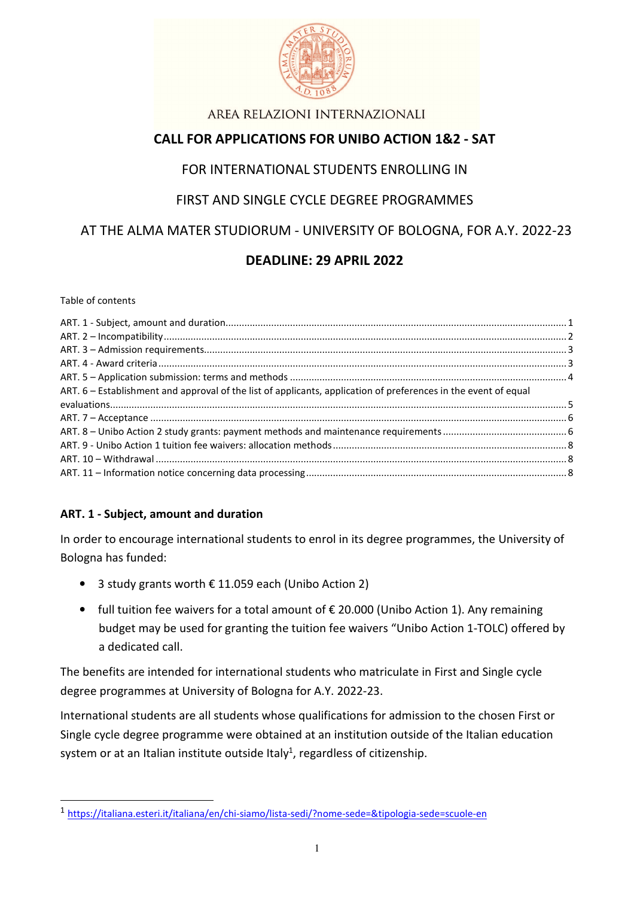

# **CALL FOR APPLICATIONS FOR UNIBO ACTION 1&2 - SAT**

## FOR INTERNATIONAL STUDENTS ENROLLING IN

## FIRST AND SINGLE CYCLE DEGREE PROGRAMMES

# AT THE ALMA MATER STUDIORUM - UNIVERSITY OF BOLOGNA, FOR A.Y. 2022-23

# **DEADLINE: 29 APRIL 2022**

#### Table of contents

L

| ART. 6 – Establishment and approval of the list of applicants, application of preferences in the event of equal |  |
|-----------------------------------------------------------------------------------------------------------------|--|
|                                                                                                                 |  |
|                                                                                                                 |  |
|                                                                                                                 |  |
|                                                                                                                 |  |
|                                                                                                                 |  |
|                                                                                                                 |  |
|                                                                                                                 |  |

#### **ART. 1 - Subject, amount and duration**

In order to encourage international students to enrol in its degree programmes, the University of Bologna has funded:

- 3 study grants worth € 11.059 each (Unibo Action 2)
- full tuition fee waivers for a total amount of  $\epsilon$  20.000 (Unibo Action 1). Any remaining budget may be used for granting the tuition fee waivers "Unibo Action 1-TOLC) offered by a dedicated call.

The benefits are intended for international students who matriculate in First and Single cycle degree programmes at University of Bologna for A.Y. 2022-23.

International students are all students whose qualifications for admission to the chosen First or Single cycle degree programme were obtained at an institution outside of the Italian education system or at an Italian institute outside Italy<sup>1</sup>, regardless of citizenship.

<sup>1</sup> https://italiana.esteri.it/italiana/en/chi-siamo/lista-sedi/?nome-sede=&tipologia-sede=scuole-en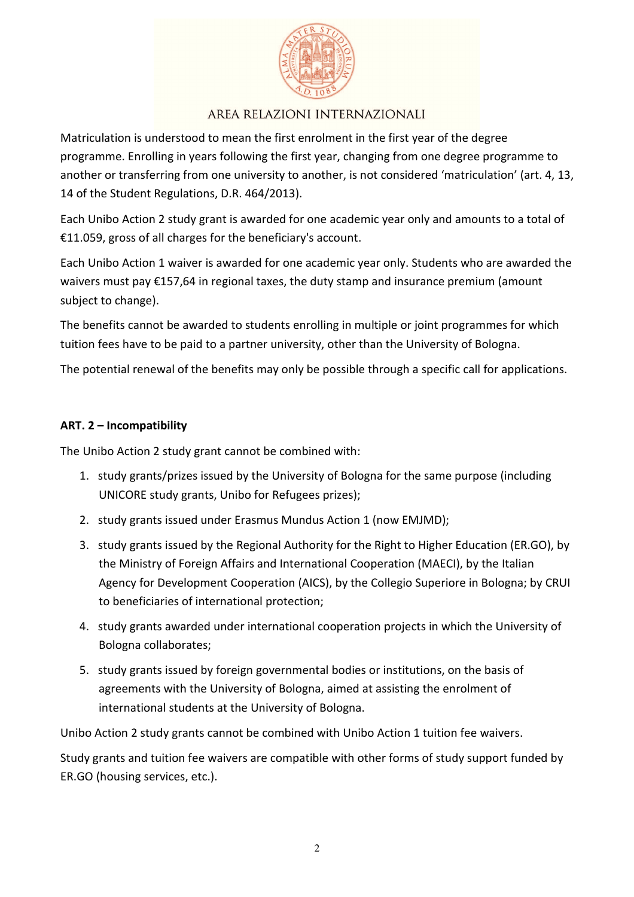

Matriculation is understood to mean the first enrolment in the first year of the degree programme. Enrolling in years following the first year, changing from one degree programme to another or transferring from one university to another, is not considered 'matriculation' (art. 4, 13, 14 of the Student Regulations, D.R. 464/2013).

Each Unibo Action 2 study grant is awarded for one academic year only and amounts to a total of €11.059, gross of all charges for the beneficiary's account.

Each Unibo Action 1 waiver is awarded for one academic year only. Students who are awarded the waivers must pay €157,64 in regional taxes, the duty stamp and insurance premium (amount subject to change).

The benefits cannot be awarded to students enrolling in multiple or joint programmes for which tuition fees have to be paid to a partner university, other than the University of Bologna.

The potential renewal of the benefits may only be possible through a specific call for applications.

### **ART. 2 – Incompatibility**

The Unibo Action 2 study grant cannot be combined with:

- 1. study grants/prizes issued by the University of Bologna for the same purpose (including UNICORE study grants, Unibo for Refugees prizes);
- 2. study grants issued under Erasmus Mundus Action 1 (now EMJMD);
- 3. study grants issued by the Regional Authority for the Right to Higher Education (ER.GO), by the Ministry of Foreign Affairs and International Cooperation (MAECI), by the Italian Agency for Development Cooperation (AICS), by the Collegio Superiore in Bologna; by CRUI to beneficiaries of international protection;
- 4. study grants awarded under international cooperation projects in which the University of Bologna collaborates;
- 5. study grants issued by foreign governmental bodies or institutions, on the basis of agreements with the University of Bologna, aimed at assisting the enrolment of international students at the University of Bologna.

Unibo Action 2 study grants cannot be combined with Unibo Action 1 tuition fee waivers.

Study grants and tuition fee waivers are compatible with other forms of study support funded by ER.GO (housing services, etc.).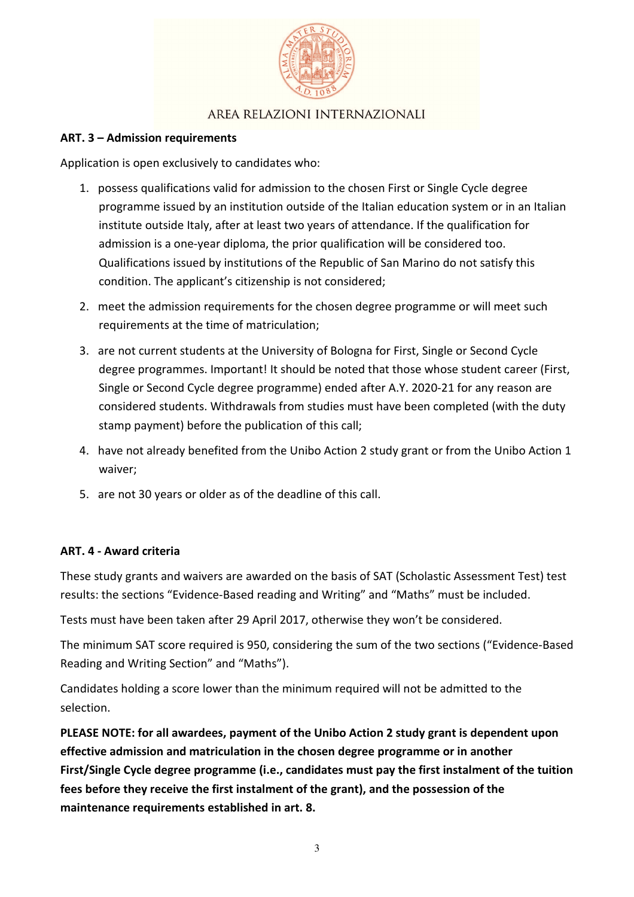

### **ART. 3 – Admission requirements**

Application is open exclusively to candidates who:

- 1. possess qualifications valid for admission to the chosen First or Single Cycle degree programme issued by an institution outside of the Italian education system or in an Italian institute outside Italy, after at least two years of attendance. If the qualification for admission is a one-year diploma, the prior qualification will be considered too. Qualifications issued by institutions of the Republic of San Marino do not satisfy this condition. The applicant's citizenship is not considered;
- 2. meet the admission requirements for the chosen degree programme or will meet such requirements at the time of matriculation;
- 3. are not current students at the University of Bologna for First, Single or Second Cycle degree programmes. Important! It should be noted that those whose student career (First, Single or Second Cycle degree programme) ended after A.Y. 2020-21 for any reason are considered students. Withdrawals from studies must have been completed (with the duty stamp payment) before the publication of this call;
- 4. have not already benefited from the Unibo Action 2 study grant or from the Unibo Action 1 waiver;
- 5. are not 30 years or older as of the deadline of this call.

#### **ART. 4 - Award criteria**

These study grants and waivers are awarded on the basis of SAT (Scholastic Assessment Test) test results: the sections "Evidence-Based reading and Writing" and "Maths" must be included.

Tests must have been taken after 29 April 2017, otherwise they won't be considered.

The minimum SAT score required is 950, considering the sum of the two sections ("Evidence-Based Reading and Writing Section" and "Maths").

Candidates holding a score lower than the minimum required will not be admitted to the selection.

**PLEASE NOTE: for all awardees, payment of the Unibo Action 2 study grant is dependent upon effective admission and matriculation in the chosen degree programme or in another First/Single Cycle degree programme (i.e., candidates must pay the first instalment of the tuition fees before they receive the first instalment of the grant), and the possession of the maintenance requirements established in art. 8.**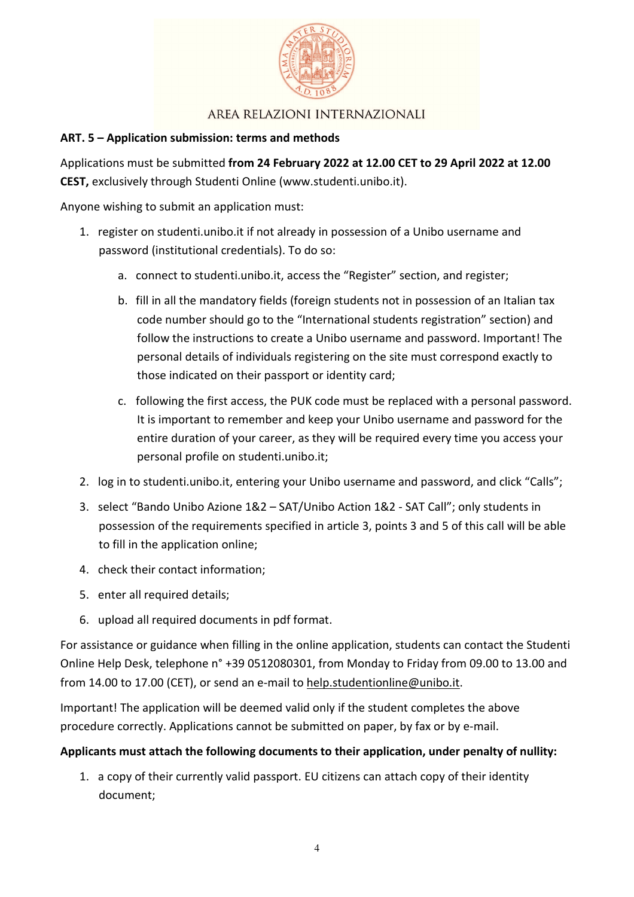

### **ART. 5 – Application submission: terms and methods**

Applications must be submitted **from 24 February 2022 at 12.00 CET to 29 April 2022 at 12.00 CEST,** exclusively through Studenti Online (www.studenti.unibo.it).

Anyone wishing to submit an application must:

- 1. register on studenti.unibo.it if not already in possession of a Unibo username and password (institutional credentials). To do so:
	- a. connect to studenti.unibo.it, access the "Register" section, and register;
	- b. fill in all the mandatory fields (foreign students not in possession of an Italian tax code number should go to the "International students registration" section) and follow the instructions to create a Unibo username and password. Important! The personal details of individuals registering on the site must correspond exactly to those indicated on their passport or identity card;
	- c. following the first access, the PUK code must be replaced with a personal password. It is important to remember and keep your Unibo username and password for the entire duration of your career, as they will be required every time you access your personal profile on studenti.unibo.it;
- 2. log in to studenti.unibo.it, entering your Unibo username and password, and click "Calls";
- 3. select "Bando Unibo Azione 1&2 SAT/Unibo Action 1&2 SAT Call"; only students in possession of the requirements specified in article 3, points 3 and 5 of this call will be able to fill in the application online;
- 4. check their contact information;
- 5. enter all required details;
- 6. upload all required documents in pdf format.

For assistance or guidance when filling in the online application, students can contact the Studenti Online Help Desk, telephone n° +39 0512080301, from Monday to Friday from 09.00 to 13.00 and from 14.00 to 17.00 (CET), or send an e-mail to help.studentionline@unibo.it.

Important! The application will be deemed valid only if the student completes the above procedure correctly. Applications cannot be submitted on paper, by fax or by e-mail.

### **Applicants must attach the following documents to their application, under penalty of nullity:**

1. a copy of their currently valid passport. EU citizens can attach copy of their identity document;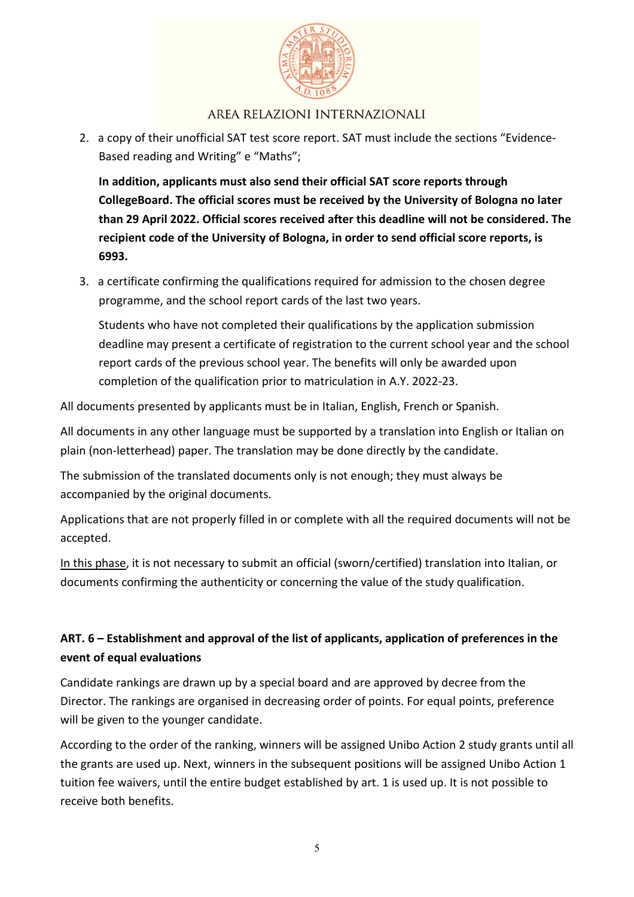

2. a copy of their unofficial SAT test score report. SAT must include the sections "Evidence-Based reading and Writing" e "Maths";

**In addition, applicants must also send their official SAT score reports through CollegeBoard. The official scores must be received by the University of Bologna no later than 29 April 2022. Official scores received after this deadline will not be considered. The recipient code of the University of Bologna, in order to send official score reports, is 6993.**

3. a certificate confirming the qualifications required for admission to the chosen degree programme, and the school report cards of the last two years.

Students who have not completed their qualifications by the application submission deadline may present a certificate of registration to the current school year and the school report cards of the previous school year. The benefits will only be awarded upon completion of the qualification prior to matriculation in A.Y. 2022-23.

All documents presented by applicants must be in Italian, English, French or Spanish.

All documents in any other language must be supported by a translation into English or Italian on plain (non-letterhead) paper. The translation may be done directly by the candidate.

The submission of the translated documents only is not enough; they must always be accompanied by the original documents.

Applications that are not properly filled in or complete with all the required documents will not be accepted.

In this phase, it is not necessary to submit an official (sworn/certified) translation into Italian, or documents confirming the authenticity or concerning the value of the study qualification.

# **ART. 6 – Establishment and approval of the list of applicants, application of preferences in the event of equal evaluations**

Candidate rankings are drawn up by a special board and are approved by decree from the Director. The rankings are organised in decreasing order of points. For equal points, preference will be given to the younger candidate.

According to the order of the ranking, winners will be assigned Unibo Action 2 study grants until all the grants are used up. Next, winners in the subsequent positions will be assigned Unibo Action 1 tuition fee waivers, until the entire budget established by art. 1 is used up. It is not possible to receive both benefits.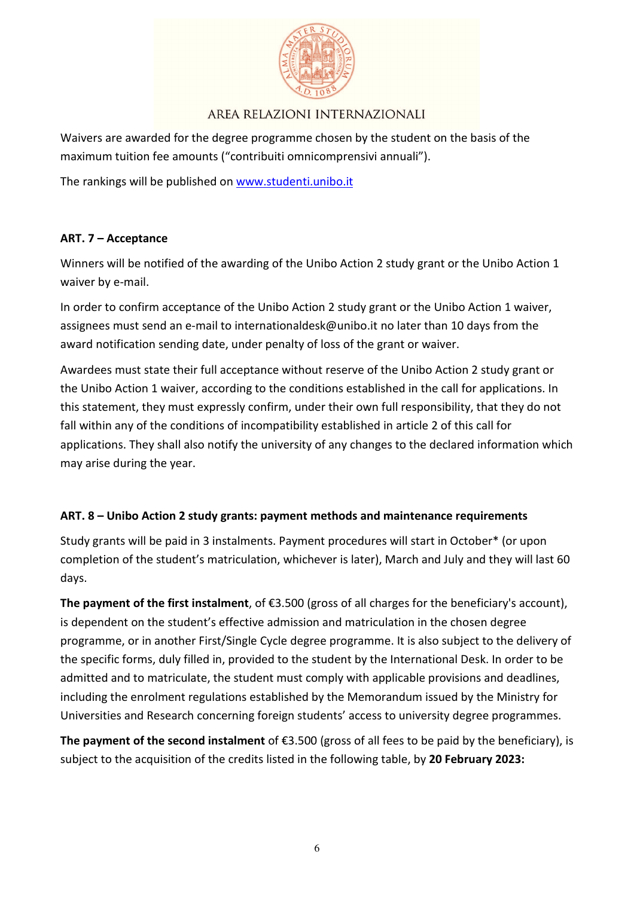

Waivers are awarded for the degree programme chosen by the student on the basis of the maximum tuition fee amounts ("contribuiti omnicomprensivi annuali").

The rankings will be published on www.studenti.unibo.it

### **ART. 7 – Acceptance**

Winners will be notified of the awarding of the Unibo Action 2 study grant or the Unibo Action 1 waiver by e-mail.

In order to confirm acceptance of the Unibo Action 2 study grant or the Unibo Action 1 waiver, assignees must send an e-mail to internationaldesk@unibo.it no later than 10 days from the award notification sending date, under penalty of loss of the grant or waiver.

Awardees must state their full acceptance without reserve of the Unibo Action 2 study grant or the Unibo Action 1 waiver, according to the conditions established in the call for applications. In this statement, they must expressly confirm, under their own full responsibility, that they do not fall within any of the conditions of incompatibility established in article 2 of this call for applications. They shall also notify the university of any changes to the declared information which may arise during the year.

### **ART. 8 – Unibo Action 2 study grants: payment methods and maintenance requirements**

Study grants will be paid in 3 instalments. Payment procedures will start in October\* (or upon completion of the student's matriculation, whichever is later), March and July and they will last 60 days.

**The payment of the first instalment**, of €3.500 (gross of all charges for the beneficiary's account), is dependent on the student's effective admission and matriculation in the chosen degree programme, or in another First/Single Cycle degree programme. It is also subject to the delivery of the specific forms, duly filled in, provided to the student by the International Desk. In order to be admitted and to matriculate, the student must comply with applicable provisions and deadlines, including the enrolment regulations established by the Memorandum issued by the Ministry for Universities and Research concerning foreign students' access to university degree programmes.

**The payment of the second instalment** of €3.500 (gross of all fees to be paid by the beneficiary), is subject to the acquisition of the credits listed in the following table, by **20 February 2023:**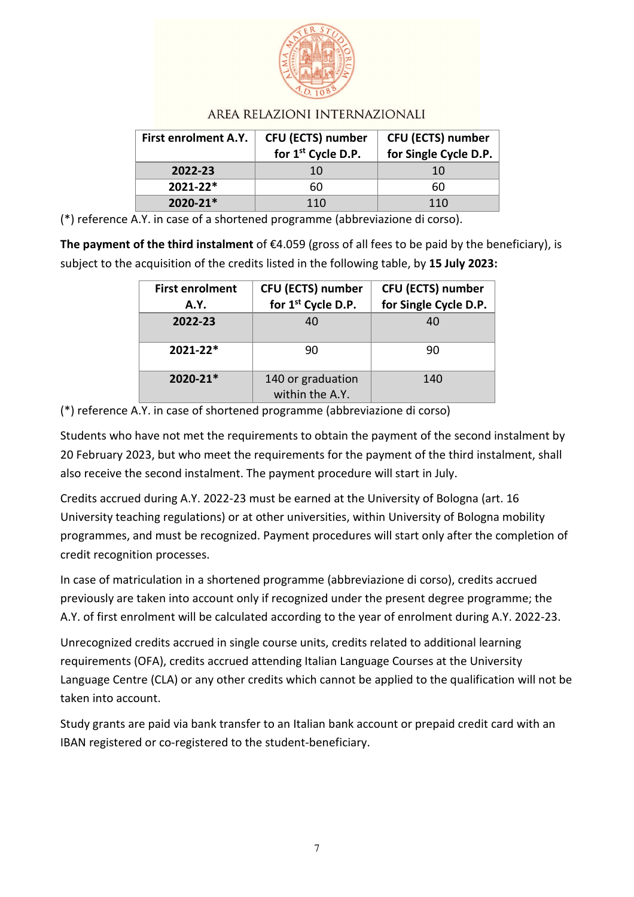

| First enrolment A.Y. | <b>CFU (ECTS) number</b><br>for 1st Cycle D.P. | <b>CFU (ECTS) number</b><br>for Single Cycle D.P. |
|----------------------|------------------------------------------------|---------------------------------------------------|
| 2022-23              | 10                                             | 10                                                |
| $2021 - 22*$         | 60                                             | 60                                                |
| $2020 - 21*$         | 110                                            | 110                                               |

(\*) reference A.Y. in case of a shortened programme (abbreviazione di corso).

**The payment of the third instalment** of €4.059 (gross of all fees to be paid by the beneficiary), is subject to the acquisition of the credits listed in the following table, by **15 July 2023:** 

| <b>First enrolment</b><br><b>A.Y.</b> | CFU (ECTS) number<br>for 1 <sup>st</sup> Cycle D.P. | <b>CFU (ECTS) number</b><br>for Single Cycle D.P. |
|---------------------------------------|-----------------------------------------------------|---------------------------------------------------|
| 2022-23                               | 40                                                  | 40                                                |
| 2021-22*                              | 90                                                  | 90                                                |
| 2020-21*                              | 140 or graduation<br>within the A.Y.                | 140                                               |

(\*) reference A.Y. in case of shortened programme (abbreviazione di corso)

Students who have not met the requirements to obtain the payment of the second instalment by 20 February 2023, but who meet the requirements for the payment of the third instalment, shall also receive the second instalment. The payment procedure will start in July.

Credits accrued during A.Y. 2022-23 must be earned at the University of Bologna (art. 16 University teaching regulations) or at other universities, within University of Bologna mobility programmes, and must be recognized. Payment procedures will start only after the completion of credit recognition processes.

In case of matriculation in a shortened programme (abbreviazione di corso), credits accrued previously are taken into account only if recognized under the present degree programme; the A.Y. of first enrolment will be calculated according to the year of enrolment during A.Y. 2022-23.

Unrecognized credits accrued in single course units, credits related to additional learning requirements (OFA), credits accrued attending Italian Language Courses at the University Language Centre (CLA) or any other credits which cannot be applied to the qualification will not be taken into account.

Study grants are paid via bank transfer to an Italian bank account or prepaid credit card with an IBAN registered or co-registered to the student-beneficiary.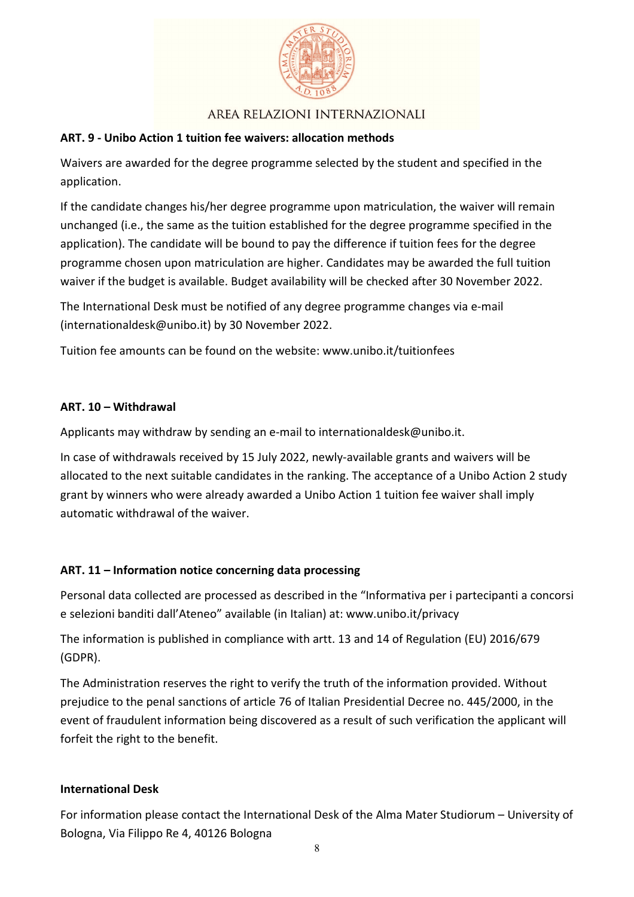

## **ART. 9 - Unibo Action 1 tuition fee waivers: allocation methods**

Waivers are awarded for the degree programme selected by the student and specified in the application.

If the candidate changes his/her degree programme upon matriculation, the waiver will remain unchanged (i.e., the same as the tuition established for the degree programme specified in the application). The candidate will be bound to pay the difference if tuition fees for the degree programme chosen upon matriculation are higher. Candidates may be awarded the full tuition waiver if the budget is available. Budget availability will be checked after 30 November 2022.

The International Desk must be notified of any degree programme changes via e-mail (internationaldesk@unibo.it) by 30 November 2022.

Tuition fee amounts can be found on the website: www.unibo.it/tuitionfees

### **ART. 10 – Withdrawal**

Applicants may withdraw by sending an e-mail to internationaldesk@unibo.it.

In case of withdrawals received by 15 July 2022, newly-available grants and waivers will be allocated to the next suitable candidates in the ranking. The acceptance of a Unibo Action 2 study grant by winners who were already awarded a Unibo Action 1 tuition fee waiver shall imply automatic withdrawal of the waiver.

### **ART. 11 – Information notice concerning data processing**

Personal data collected are processed as described in the "Informativa per i partecipanti a concorsi e selezioni banditi dall'Ateneo" available (in Italian) at: www.unibo.it/privacy

The information is published in compliance with artt. 13 and 14 of Regulation (EU) 2016/679 (GDPR).

The Administration reserves the right to verify the truth of the information provided. Without prejudice to the penal sanctions of article 76 of Italian Presidential Decree no. 445/2000, in the event of fraudulent information being discovered as a result of such verification the applicant will forfeit the right to the benefit.

### **International Desk**

For information please contact the International Desk of the Alma Mater Studiorum – University of Bologna, Via Filippo Re 4, 40126 Bologna